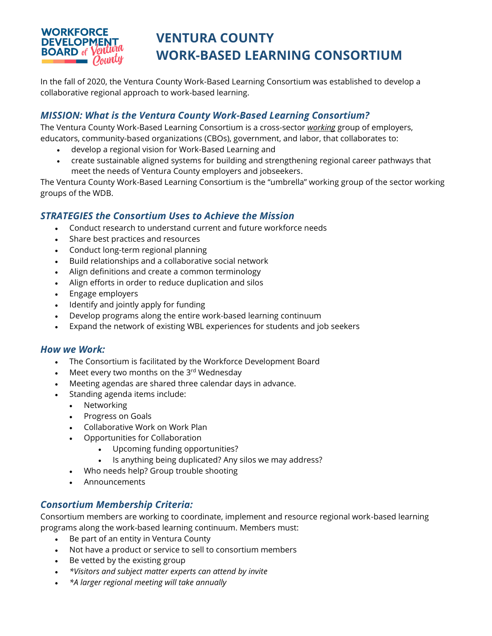

# **VENTURA COUNTY WORK-BASED LEARNING CONSORTIUM**

In the fall of 2020, the Ventura County Work-Based Learning Consortium was established to develop a collaborative regional approach to work-based learning.

# *MISSION: What is the Ventura County Work-Based Learning Consortium?*

The Ventura County Work-Based Learning Consortium is a cross-sector *working* group of employers, educators, community-based organizations (CBOs), government, and labor, that collaborates to:

- develop a regional vision for Work-Based Learning and
- create sustainable aligned systems for building and strengthening regional career pathways that meet the needs of Ventura County employers and jobseekers.

The Ventura County Work-Based Learning Consortium is the "umbrella" working group of the sector working groups of the WDB.

# *STRATEGIES the Consortium Uses to Achieve the Mission*

- Conduct research to understand current and future workforce needs
- Share best practices and resources
- Conduct long-term regional planning
- Build relationships and a collaborative social network
- Align definitions and create a common terminology
- Align efforts in order to reduce duplication and silos
- Engage employers
- Identify and jointly apply for funding
- Develop programs along the entire work-based learning continuum
- Expand the network of existing WBL experiences for students and job seekers

## *How we Work:*

- The Consortium is facilitated by the Workforce Development Board
- Meet every two months on the  $3<sup>rd</sup>$  Wednesday
- Meeting agendas are shared three calendar days in advance.
- Standing agenda items include:
	- Networking
	- Progress on Goals
	- Collaborative Work on Work Plan
	- Opportunities for Collaboration
		- Upcoming funding opportunities?
		- Is anything being duplicated? Any silos we may address?
	- Who needs help? Group trouble shooting
	- Announcements

## *Consortium Membership Criteria:*

Consortium members are working to coordinate, implement and resource regional work-based learning programs along the work-based learning continuum. Members must:

- Be part of an entity in Ventura County
- Not have a product or service to sell to consortium members
- Be vetted by the existing group
- *\*Visitors and subject matter experts can attend by invite*
- *\*A larger regional meeting will take annually*